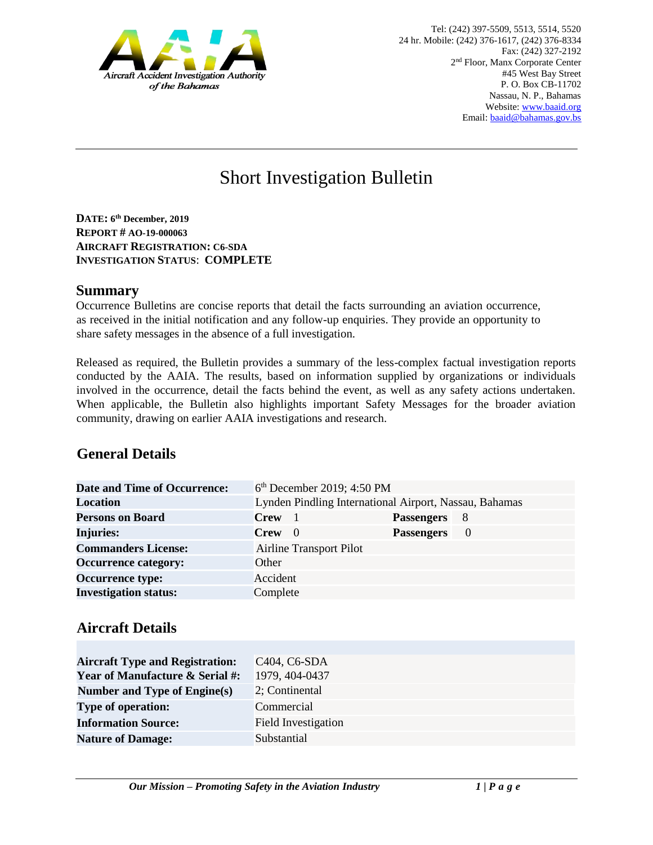

# Short Investigation Bulletin

**DATE: 6 th December, 2019 REPORT # AO-19-000063 AIRCRAFT REGISTRATION: C6-SDA INVESTIGATION STATUS**: **COMPLETE**

#### **Summary**

Occurrence Bulletins are concise reports that detail the facts surrounding an aviation occurrence, as received in the initial notification and any follow-up enquiries. They provide an opportunity to share safety messages in the absence of a full investigation*.* 

Released as required, the Bulletin provides a summary of the less-complex factual investigation reports conducted by the AAIA. The results, based on information supplied by organizations or individuals involved in the occurrence, detail the facts behind the event, as well as any safety actions undertaken. When applicable, the Bulletin also highlights important Safety Messages for the broader aviation community, drawing on earlier AAIA investigations and research.

## **General Details**

| Date and Time of Occurrence: |             | 6 <sup>th</sup> December 2019; 4:50 PM |                                                        |          |  |
|------------------------------|-------------|----------------------------------------|--------------------------------------------------------|----------|--|
| <b>Location</b>              |             |                                        | Lynden Pindling International Airport, Nassau, Bahamas |          |  |
| <b>Persons on Board</b>      | <b>Crew</b> |                                        | <b>Passengers</b>                                      | - 8      |  |
| <b>Injuries:</b>             | $Crew \t0$  |                                        | <b>Passengers</b>                                      | $\theta$ |  |
| <b>Commanders License:</b>   |             | Airline Transport Pilot                |                                                        |          |  |
| <b>Occurrence category:</b>  | Other       |                                        |                                                        |          |  |
| <b>Occurrence type:</b>      | Accident    |                                        |                                                        |          |  |
| <b>Investigation status:</b> | Complete    |                                        |                                                        |          |  |

#### **Aircraft Details**

| <b>Aircraft Type and Registration:</b>     | C <sub>404</sub> , C <sub>6</sub> -SD <sub>A</sub> |
|--------------------------------------------|----------------------------------------------------|
| <b>Year of Manufacture &amp; Serial #:</b> | 1979, 404-0437                                     |
| <b>Number and Type of Engine(s)</b>        | 2; Continental                                     |
| <b>Type of operation:</b>                  | Commercial                                         |
| <b>Information Source:</b>                 | Field Investigation                                |
| <b>Nature of Damage:</b>                   | Substantial                                        |